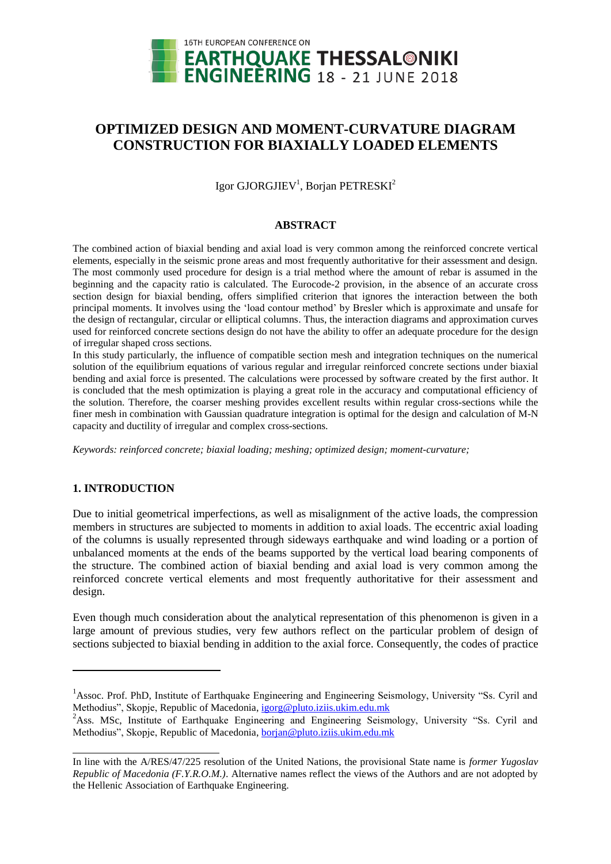

# **OPTIMIZED DESIGN AND MOMENT-CURVATURE DIAGRAM CONSTRUCTION FOR BIAXIALLY LOADED ELEMENTS**

Igor GJORGJIEV<sup>1</sup>, Borjan PETRESKI<sup>2</sup>

## **ABSTRACT**

The combined action of biaxial bending and axial load is very common among the reinforced concrete vertical elements, especially in the seismic prone areas and most frequently authoritative for their assessment and design. The most commonly used procedure for design is a trial method where the amount of rebar is assumed in the beginning and the capacity ratio is calculated. The Eurocode-2 provision, in the absence of an accurate cross section design for biaxial bending, offers simplified criterion that ignores the interaction between the both principal moments. It involves using the 'load contour method' by Bresler which is approximate and unsafe for the design of rectangular, circular or elliptical columns. Thus, the interaction diagrams and approximation curves used for reinforced concrete sections design do not have the ability to offer an adequate procedure for the design of irregular shaped cross sections.

In this study particularly, the influence of compatible section mesh and integration techniques on the numerical solution of the equilibrium equations of various regular and irregular reinforced concrete sections under biaxial bending and axial force is presented. The calculations were processed by software created by the first author. It is concluded that the mesh optimization is playing a great role in the accuracy and computational efficiency of the solution. Therefore, the coarser meshing provides excellent results within regular cross-sections while the finer mesh in combination with Gaussian quadrature integration is optimal for the design and calculation of M-N capacity and ductility of irregular and complex cross-sections.

*Keywords: reinforced concrete; biaxial loading; meshing; optimized design; moment-curvature;* 

# **1. INTRODUCTION**

l

Due to initial geometrical imperfections, as well as misalignment of the active loads, the compression members in structures are subjected to moments in addition to axial loads. The eccentric axial loading of the columns is usually represented through sideways earthquake and wind loading or a portion of unbalanced moments at the ends of the beams supported by the vertical load bearing components of the structure. The combined action of biaxial bending and axial load is very common among the reinforced concrete vertical elements and most frequently authoritative for their assessment and design.

Even though much consideration about the analytical representation of this phenomenon is given in a large amount of previous studies, very few authors reflect on the particular problem of design of sections subjected to biaxial bending in addition to the axial force. Consequently, the codes of practice

<sup>&</sup>lt;sup>1</sup>Assoc. Prof. PhD, Institute of Earthquake Engineering and Engineering Seismology, University "Ss. Cyril and Methodius", Skopje, Republic of Macedonia, igorg@pluto.iziis.ukim.edu.mk

<sup>&</sup>lt;sup>2</sup>Ass. MSc, Institute of Earthquake Engineering and Engineering Seismology, University "Ss. Cyril and Methodius", Skopje, Republic of Macedonia[, borjan@p](mailto:emailaddress@canterbury.ac.nz)luto.iziis.ukim.edu.mk

In line with the A/RES/47/225 resolution of the United Nations, the provisional State name is *former Yugoslav Republic of Macedonia (F.Y.R.O.M.)*. Alternative names reflect the views of the Authors and are not adopted by the Hellenic Association of Earthquake Engineering.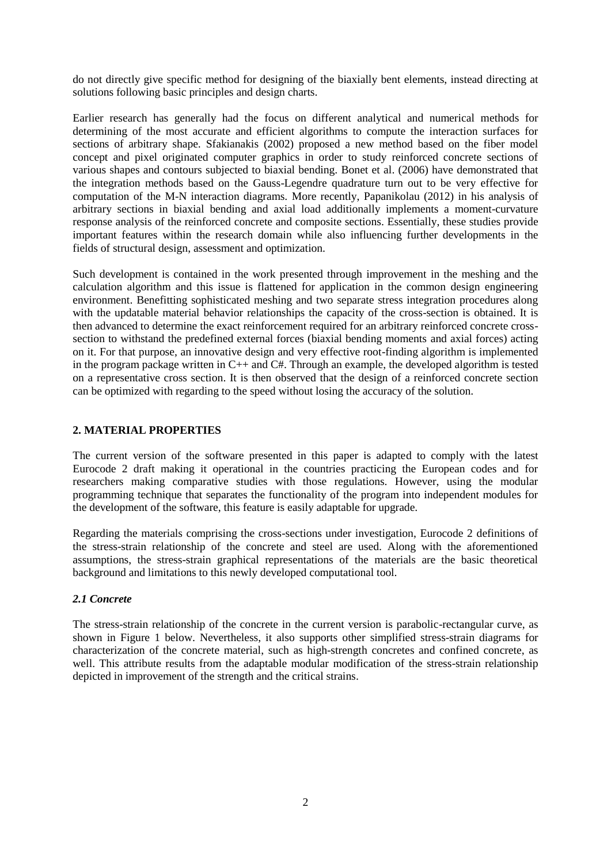do not directly give specific method for designing of the biaxially bent elements, instead directing at solutions following basic principles and design charts.

Earlier research has generally had the focus on different analytical and numerical methods for determining of the most accurate and efficient algorithms to compute the interaction surfaces for sections of arbitrary shape. Sfakianakis (2002) proposed a new method based on the fiber model concept and pixel originated computer graphics in order to study reinforced concrete sections of various shapes and contours subjected to biaxial bending. Bonet et al. (2006) have demonstrated that the integration methods based on the Gauss-Legendre quadrature turn out to be very effective for computation of the M-N interaction diagrams. More recently, Papanikolau (2012) in his analysis of arbitrary sections in biaxial bending and axial load additionally implements a moment-curvature response analysis of the reinforced concrete and composite sections. Essentially, these studies provide important features within the research domain while also influencing further developments in the fields of structural design, assessment and optimization.

Such development is contained in the work presented through improvement in the meshing and the calculation algorithm and this issue is flattened for application in the common design engineering environment. Benefitting sophisticated meshing and two separate stress integration procedures along with the updatable material behavior relationships the capacity of the cross-section is obtained. It is then advanced to determine the exact reinforcement required for an arbitrary reinforced concrete crosssection to withstand the predefined external forces (biaxial bending moments and axial forces) acting on it. For that purpose, an innovative design and very effective root-finding algorithm is implemented in the program package written in C++ and C#. Through an example, the developed algorithm is tested on a representative cross section. It is then observed that the design of a reinforced concrete section can be optimized with regarding to the speed without losing the accuracy of the solution.

# **2. MATERIAL PROPERTIES**

The current version of the software presented in this paper is adapted to comply with the latest Eurocode 2 draft making it operational in the countries practicing the European codes and for researchers making comparative studies with those regulations. However, using the modular programming technique that separates the functionality of the program into independent modules for the development of the software, this feature is easily adaptable for upgrade.

Regarding the materials comprising the cross-sections under investigation, Eurocode 2 definitions of the stress-strain relationship of the concrete and steel are used. Along with the aforementioned assumptions, the stress-strain graphical representations of the materials are the basic theoretical background and limitations to this newly developed computational tool.

# *2.1 Concrete*

The stress-strain relationship of the concrete in the current version is parabolic-rectangular curve, as shown in Figure 1 below. Nevertheless, it also supports other simplified stress-strain diagrams for characterization of the concrete material, such as high-strength concretes and confined concrete, as well. This attribute results from the adaptable modular modification of the stress-strain relationship depicted in improvement of the strength and the critical strains.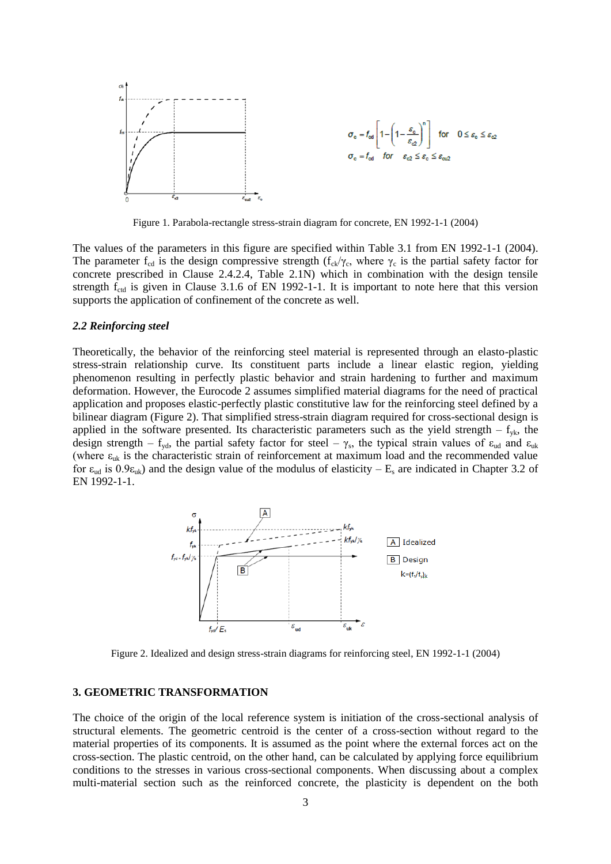

Figure 1. Parabola-rectangle stress-strain diagram for concrete, EN 1992-1-1 (2004)

The values of the parameters in this figure are specified within Table 3.1 from EN 1992-1-1 (2004). The parameter  $f_{cd}$  is the design compressive strength  $(f_{ck}/\gamma_c)$ , where  $\gamma_c$  is the partial safety factor for concrete prescribed in Clause 2.4.2.4, Table 2.1N) which in combination with the design tensile strength  $f_{\text{ctd}}$  is given in Clause 3.1.6 of EN 1992-1-1. It is important to note here that this version supports the application of confinement of the concrete as well.

#### *2.2 Reinforcing steel*

Theoretically, the behavior of the reinforcing steel material is represented through an elasto-plastic stress-strain relationship curve. Its constituent parts include a linear elastic region, yielding phenomenon resulting in perfectly plastic behavior and strain hardening to further and maximum deformation. However, the Eurocode 2 assumes simplified material diagrams for the need of practical application and proposes elastic-perfectly plastic constitutive law for the reinforcing steel defined by a bilinear diagram (Figure 2). That simplified stress-strain diagram required for cross-sectional design is applied in the software presented. Its characteristic parameters such as the yield strength –  $f_{yk}$ , the design strength – f<sub>yd</sub>, the partial safety factor for steel –  $\gamma_s$ , the typical strain values of  $\varepsilon_{ud}$  and  $\varepsilon_{uk}$ (where  $\varepsilon_{uk}$  is the characteristic strain of reinforcement at maximum load and the recommended value for  $\varepsilon_{\text{ud}}$  is  $0.9\varepsilon_{\text{uk}}$ ) and the design value of the modulus of elasticity – E<sub>s</sub> are indicated in Chapter 3.2 of EN 1992-1-1.



Figure 2. Idealized and design stress-strain diagrams for reinforcing steel, EN 1992-1-1 (2004)

## **3. GEOMETRIC TRANSFORMATION**

The choice of the origin of the local reference system is initiation of the cross-sectional analysis of structural elements. The geometric centroid is the center of a cross-section without regard to the material properties of its components. It is assumed as the point where the external forces act on the cross-section. The plastic centroid, on the other hand, can be calculated by applying force equilibrium conditions to the stresses in various cross-sectional components. When discussing about a complex multi-material section such as the reinforced concrete, the plasticity is dependent on the both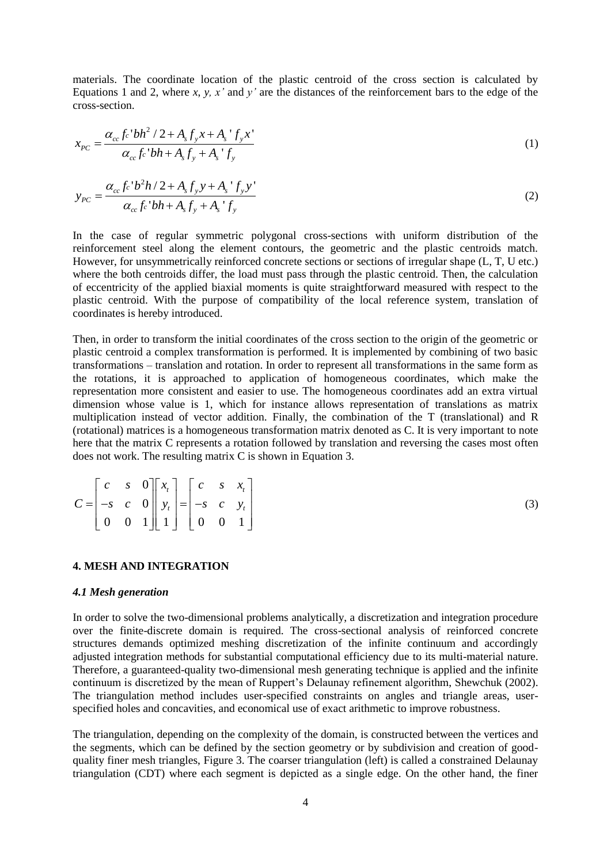materials. The coordinate location of the plastic centroid of the cross section is calculated by Equations 1 and 2, where *x*, *y, x'* and *y'* are the distances of the reinforcement bars to the edge of the cross-section.

$$
x_{PC} = \frac{\alpha_{cc} f_c' bh^2 / 2 + A_s f_y x + A_s' f_y x'}{\alpha_{cc} f_c' bh + A_s f_y + A_s' f_y}
$$
\n(1)

$$
y_{PC} = \frac{\alpha_{cc} f_c' b^2 h / 2 + A_s f_y y + A_s' f_y y'}{\alpha_{cc} f_c' b h + A_s f_y + A_s' f_y}
$$
(2)

In the case of regular symmetric polygonal cross-sections with uniform distribution of the reinforcement steel along the element contours, the geometric and the plastic centroids match. However, for unsymmetrically reinforced concrete sections or sections of irregular shape (L, T, U etc.) where the both centroids differ, the load must pass through the plastic centroid. Then, the calculation of eccentricity of the applied biaxial moments is quite straightforward measured with respect to the plastic centroid. With the purpose of compatibility of the local reference system, translation of coordinates is hereby introduced.

Then, in order to transform the initial coordinates of the cross section to the origin of the geometric or plastic centroid a complex transformation is performed. It is implemented by combining of two basic transformations – translation and rotation. In order to represent all transformations in the same form as the rotations, it is approached to application of homogeneous coordinates, which make the representation more consistent and easier to use. The homogeneous coordinates add an extra virtual dimension whose value is 1, which for instance allows representation of translations as matrix multiplication instead of vector addition. Finally, the combination of the T (translational) and R (rotational) matrices is a homogeneous transformation matrix denoted as C. It is very important to note here that the matrix C represents a rotation followed by translation and reversing the cases most often does not work. The resulting matrix C is shown in Equation 3.

$$
C = \begin{bmatrix} c & s & 0 \\ -s & c & 0 \\ 0 & 0 & 1 \end{bmatrix} \begin{bmatrix} x_t \\ y_t \\ 1 \end{bmatrix} = \begin{bmatrix} c & s & x_t \\ -s & c & y_t \\ 0 & 0 & 1 \end{bmatrix}
$$
 (3)

## **4. MESH AND INTEGRATION**

#### *4.1 Mesh generation*

In order to solve the two-dimensional problems analytically, a discretization and integration procedure over the finite-discrete domain is required. The cross-sectional analysis of reinforced concrete structures demands optimized meshing discretization of the infinite continuum and accordingly adjusted integration methods for substantial computational efficiency due to its multi-material nature. Therefore, a guaranteed-quality two-dimensional mesh generating technique is applied and the infinite continuum is discretized by the mean of Ruppert's Delaunay refinement algorithm, Shewchuk (2002). The triangulation method includes user-specified constraints on angles and triangle areas, userspecified holes and concavities, and economical use of exact arithmetic to improve robustness.

The triangulation, depending on the complexity of the domain, is constructed between the vertices and the segments, which can be defined by the section geometry or by subdivision and creation of goodquality finer mesh triangles, Figure 3. The coarser triangulation (left) is called a constrained Delaunay triangulation (CDT) where each segment is depicted as a single edge. On the other hand, the finer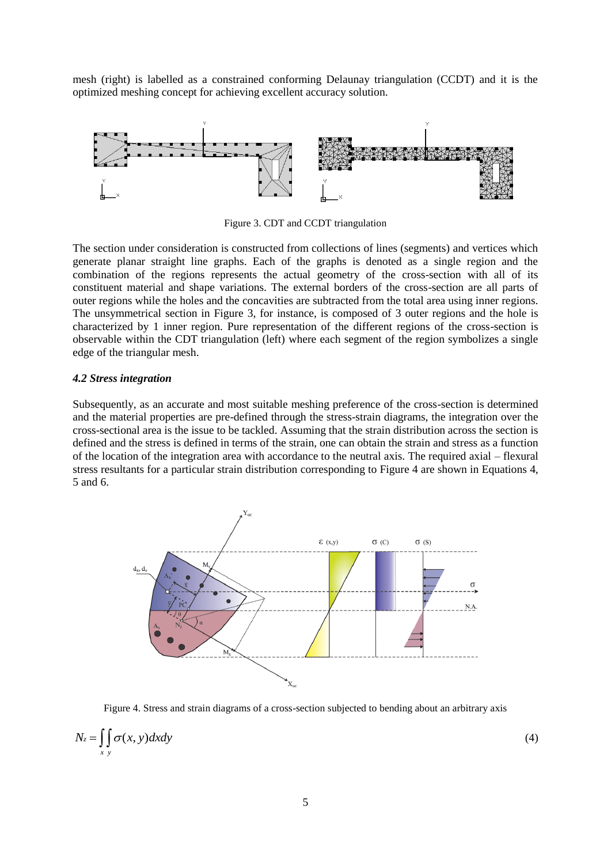mesh (right) is labelled as a constrained conforming Delaunay triangulation (CCDT) and it is the optimized meshing concept for achieving excellent accuracy solution.



Figure 3. CDT and CCDT triangulation

The section under consideration is constructed from collections of lines (segments) and vertices which generate planar straight line graphs. Each of the graphs is denoted as a single region and the combination of the regions represents the actual geometry of the cross-section with all of its constituent material and shape variations. The external borders of the cross-section are all parts of outer regions while the holes and the concavities are subtracted from the total area using inner regions. The unsymmetrical section in Figure 3, for instance, is composed of 3 outer regions and the hole is characterized by 1 inner region. Pure representation of the different regions of the cross-section is observable within the CDT triangulation (left) where each segment of the region symbolizes a single edge of the triangular mesh.

## *4.2 Stress integration*

Subsequently, as an accurate and most suitable meshing preference of the cross-section is determined and the material properties are pre-defined through the stress-strain diagrams, the integration over the cross-sectional area is the issue to be tackled. Assuming that the strain distribution across the section is defined and the stress is defined in terms of the strain, one can obtain the strain and stress as a function of the location of the integration area with accordance to the neutral axis. The required axial – flexural stress resultants for a particular strain distribution corresponding to Figure 4 are shown in Equations 4, 5 and 6.



Figure 4. Stress and strain diagrams of a cross-section subjected to bending about an arbitrary axis

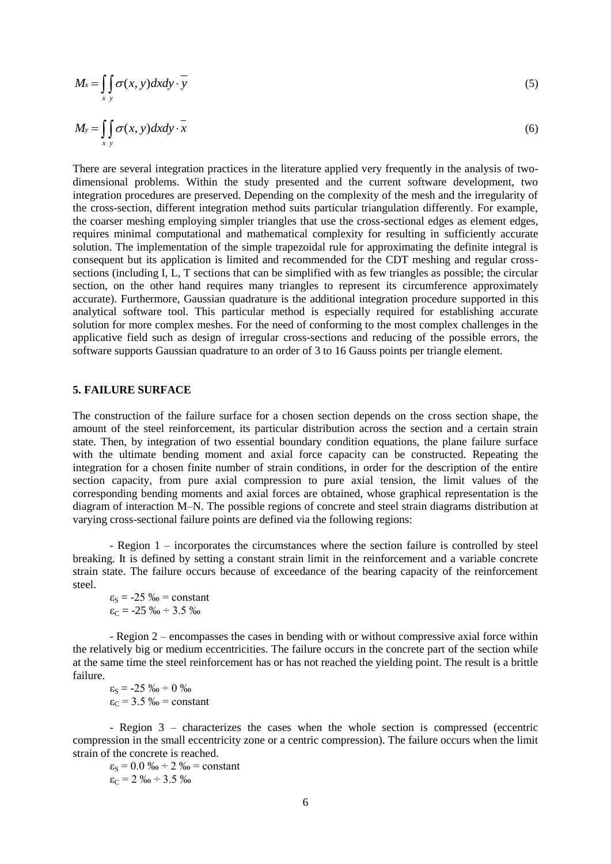$$
M_x = \iint_{x \ y} \sigma(x, y) dx dy \cdot \overline{y}
$$
  

$$
M_y = \iint_{x \ y} \sigma(x, y) dx dy \cdot \overline{x}
$$
 (6)

There are several integration practices in the literature applied very frequently in the analysis of twodimensional problems. Within the study presented and the current software development, two integration procedures are preserved. Depending on the complexity of the mesh and the irregularity of the cross-section, different integration method suits particular triangulation differently. For example, the coarser meshing employing simpler triangles that use the cross-sectional edges as element edges, requires minimal computational and mathematical complexity for resulting in sufficiently accurate solution. The implementation of the simple trapezoidal rule for approximating the definite integral is consequent but its application is limited and recommended for the CDT meshing and regular crosssections (including I, L, T sections that can be simplified with as few triangles as possible; the circular section, on the other hand requires many triangles to represent its circumference approximately accurate). Furthermore, Gaussian quadrature is the additional integration procedure supported in this analytical software tool. This particular method is especially required for establishing accurate solution for more complex meshes. For the need of conforming to the most complex challenges in the applicative field such as design of irregular cross-sections and reducing of the possible errors, the software supports Gaussian quadrature to an order of 3 to 16 Gauss points per triangle element.

## **5. FAILURE SURFACE**

The construction of the failure surface for a chosen section depends on the cross section shape, the amount of the steel reinforcement, its particular distribution across the section and a certain strain state. Then, by integration of two essential boundary condition equations, the plane failure surface with the ultimate bending moment and axial force capacity can be constructed. Repeating the integration for a chosen finite number of strain conditions, in order for the description of the entire section capacity, from pure axial compression to pure axial tension, the limit values of the corresponding bending moments and axial forces are obtained, whose graphical representation is the diagram of interaction M–N. The possible regions of concrete and steel strain diagrams distribution at varying cross-sectional failure points are defined via the following regions:

- Region 1 – incorporates the circumstances where the section failure is controlled by steel breaking. It is defined by setting a constant strain limit in the reinforcement and a variable concrete strain state. The failure occurs because of exceedance of the bearing capacity of the reinforcement steel.

 $\varepsilon_s = -25$  ‰ = constant  $\varepsilon_c = -25 \%$   $\div$  3.5 ‰

- Region 2 – encompasses the cases in bending with or without compressive axial force within the relatively big or medium eccentricities. The failure occurs in the concrete part of the section while at the same time the steel reinforcement has or has not reached the yielding point. The result is a brittle failure.

 $\varepsilon_{S} = -25 \% \cdot 0 \%$  $\varepsilon_c$  = 3.5 ‰ = constant

- Region 3 – characterizes the cases when the whole section is compressed (eccentric compression in the small eccentricity zone or a centric compression). The failure occurs when the limit strain of the concrete is reached.

 $\varepsilon_{\rm S} = 0.0 \% \div 2 \% = \text{constant}$  $\varepsilon_{C}$  = 2 ‰ ÷ 3.5 ‰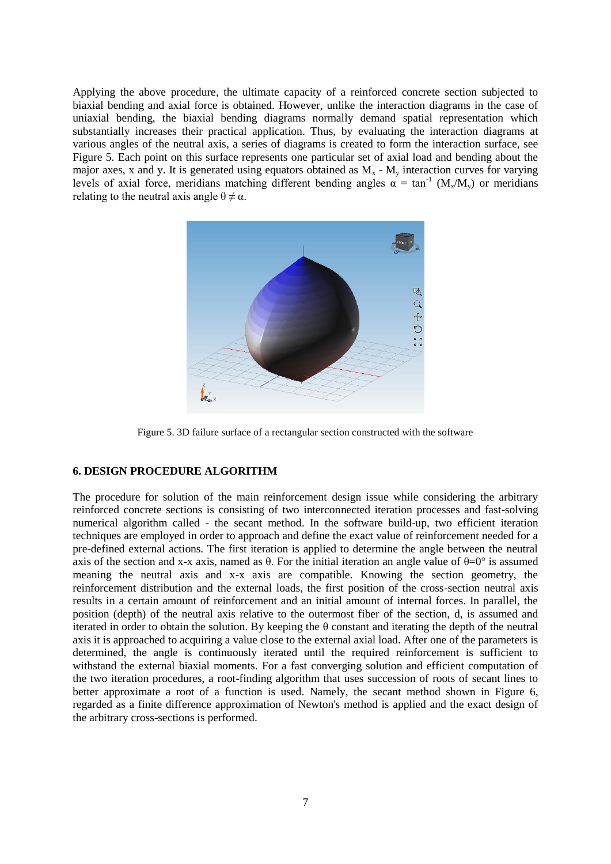Applying the above procedure, the ultimate capacity of a reinforced concrete section subjected to biaxial bending and axial force is obtained. However, unlike the interaction diagrams in the case of uniaxial bending, the biaxial bending diagrams normally demand spatial representation which substantially increases their practical application. Thus, by evaluating the interaction diagrams at various angles of the neutral axis, a series of diagrams is created to form the interaction surface, see Figure 5. Each point on this surface represents one particular set of axial load and bending about the major axes, x and y. It is generated using equators obtained as  $M_x$  -  $M_y$  interaction curves for varying levels of axial force, meridians matching different bending angles  $\alpha = \tan^{-1} (M_x/M_y)$  or meridians relating to the neutral axis angle  $\theta \neq \alpha$ .



Figure 5. 3D failure surface of a rectangular section constructed with the software

## **6. DESIGN PROCEDURE ALGORITHM**

The procedure for solution of the main reinforcement design issue while considering the arbitrary reinforced concrete sections is consisting of two interconnected iteration processes and fast-solving numerical algorithm called - the secant method. In the software build-up, two efficient iteration techniques are employed in order to approach and define the exact value of reinforcement needed for a pre-defined external actions. The first iteration is applied to determine the angle between the neutral axis of the section and x-x axis, named as θ. For the initial iteration an angle value of  $\theta=0^\circ$  is assumed meaning the neutral axis and x-x axis are compatible. Knowing the section geometry, the reinforcement distribution and the external loads, the first position of the cross-section neutral axis results in a certain amount of reinforcement and an initial amount of internal forces. In parallel, the position (depth) of the neutral axis relative to the outermost fiber of the section, d, is assumed and iterated in order to obtain the solution. By keeping the  $\theta$  constant and iterating the depth of the neutral axis it is approached to acquiring a value close to the external axial load. After one of the parameters is determined, the angle is continuously iterated until the required reinforcement is sufficient to withstand the external biaxial moments. For a fast converging solution and efficient computation of the two iteration procedures, a root-finding algorithm that uses succession of roots of secant lines to better approximate a root of a function is used. Namely, the secant method shown in Figure 6, regarded as a finite difference approximation of Newton's method is applied and the exact design of the arbitrary cross-sections is performed.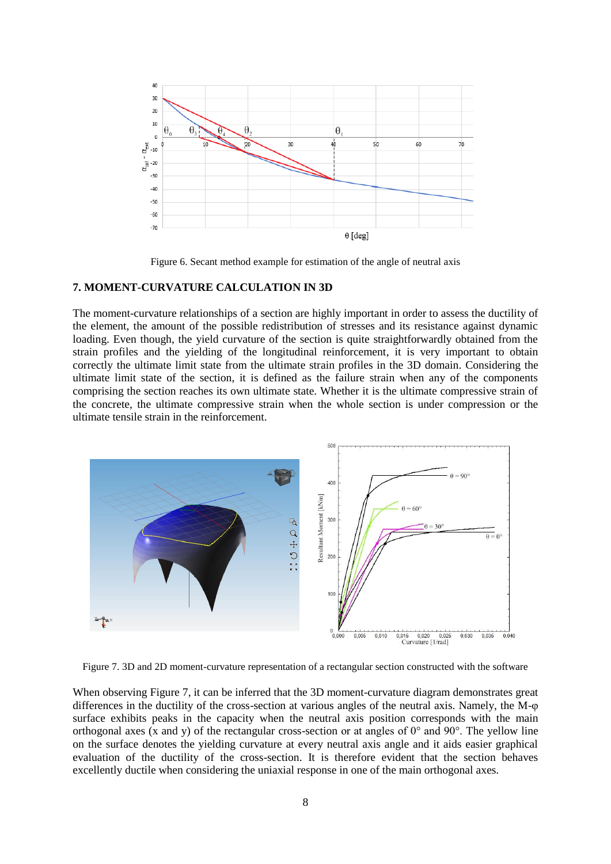

Figure 6. Secant method example for estimation of the angle of neutral axis

## **7. MOMENT-CURVATURE CALCULATION IN 3D**

The moment-curvature relationships of a section are highly important in order to assess the ductility of the element, the amount of the possible redistribution of stresses and its resistance against dynamic loading. Even though, the yield curvature of the section is quite straightforwardly obtained from the strain profiles and the yielding of the longitudinal reinforcement, it is very important to obtain correctly the ultimate limit state from the ultimate strain profiles in the 3D domain. Considering the ultimate limit state of the section, it is defined as the failure strain when any of the components comprising the section reaches its own ultimate state. Whether it is the ultimate compressive strain of the concrete, the ultimate compressive strain when the whole section is under compression or the ultimate tensile strain in the reinforcement.



Figure 7. 3D and 2D moment-curvature representation of a rectangular section constructed with the software

When observing Figure 7, it can be inferred that the 3D moment-curvature diagram demonstrates great differences in the ductility of the cross-section at various angles of the neutral axis. Namely, the M-φ surface exhibits peaks in the capacity when the neutral axis position corresponds with the main orthogonal axes (x and y) of the rectangular cross-section or at angles of  $0^{\circ}$  and  $90^{\circ}$ . The yellow line on the surface denotes the yielding curvature at every neutral axis angle and it aids easier graphical evaluation of the ductility of the cross-section. It is therefore evident that the section behaves excellently ductile when considering the uniaxial response in one of the main orthogonal axes.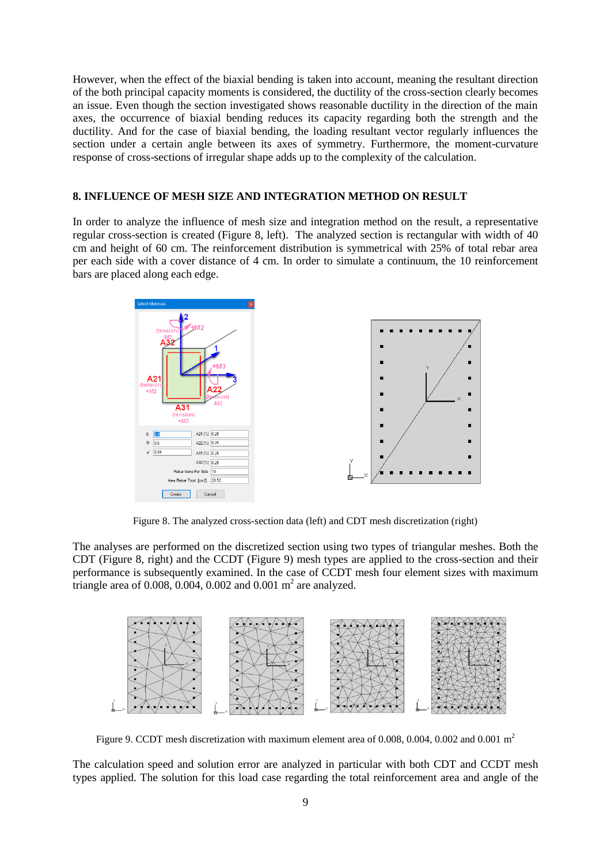However, when the effect of the biaxial bending is taken into account, meaning the resultant direction of the both principal capacity moments is considered, the ductility of the cross-section clearly becomes an issue. Even though the section investigated shows reasonable ductility in the direction of the main axes, the occurrence of biaxial bending reduces its capacity regarding both the strength and the ductility. And for the case of biaxial bending, the loading resultant vector regularly influences the section under a certain angle between its axes of symmetry. Furthermore, the moment-curvature response of cross-sections of irregular shape adds up to the complexity of the calculation.

## **8. INFLUENCE OF MESH SIZE AND INTEGRATION METHOD ON RESULT**

In order to analyze the influence of mesh size and integration method on the result, a representative regular cross-section is created (Figure 8, left). The analyzed section is rectangular with width of 40 cm and height of 60 cm. The reinforcement distribution is symmetrical with 25% of total rebar area per each side with a cover distance of 4 cm. In order to simulate a continuum, the 10 reinforcement bars are placed along each edge.



Figure 8. The analyzed cross-section data (left) and CDT mesh discretization (right)

The analyses are performed on the discretized section using two types of triangular meshes. Both the CDT (Figure 8, right) and the CCDT (Figure 9) mesh types are applied to the cross-section and their performance is subsequently examined. In the case of CCDT mesh four element sizes with maximum triangle area of  $0.008, 0.004, 0.002$  and  $0.001$  m<sup>2</sup> are analyzed.



Figure 9. CCDT mesh discretization with maximum element area of 0.008, 0.004, 0.002 and 0.001 m<sup>2</sup>

The calculation speed and solution error are analyzed in particular with both CDT and CCDT mesh types applied. The solution for this load case regarding the total reinforcement area and angle of the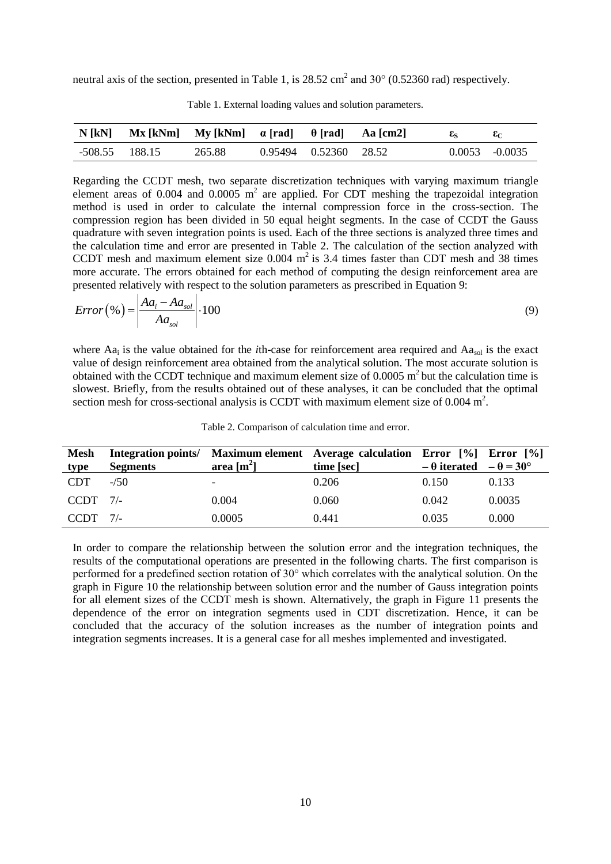neutral axis of the section, presented in Table 1, is  $28.52 \text{ cm}^2$  and  $30^{\circ}$  (0.52360 rad) respectively.

|                  | N [kN] Mx [kNm] My [kNm] $\alpha$ [rad] $\theta$ [rad] Aa [cm2] |        |                       |  |                   |
|------------------|-----------------------------------------------------------------|--------|-----------------------|--|-------------------|
| $-508.55$ 188.15 |                                                                 | 265.88 | 0.95494 0.52360 28.52 |  | $0.0053 - 0.0035$ |

Table 1. External loading values and solution parameters.

Regarding the CCDT mesh, two separate discretization techniques with varying maximum triangle element areas of  $0.004$  and  $0.0005$  m<sup>2</sup> are applied. For CDT meshing the trapezoidal integration method is used in order to calculate the internal compression force in the cross-section. The compression region has been divided in 50 equal height segments. In the case of CCDT the Gauss quadrature with seven integration points is used. Each of the three sections is analyzed three times and the calculation time and error are presented in Table 2. The calculation of the section analyzed with CCDT mesh and maximum element size  $0.004$  m<sup>2</sup> is 3.4 times faster than CDT mesh and 38 times more accurate. The errors obtained for each method of computing the design reinforcement area are

presented relatively with respect to the solution parameters as prescribed in Equation 9:  
\n
$$
Error(\%) = \left| \frac{Aa_i - Aa_{sol}}{Aa_{sol}} \right| \cdot 100
$$
\n(9)

where Aa<sub>i</sub> is the value obtained for the *i*th-case for reinforcement area required and Aa<sub>sol</sub> is the exact value of design reinforcement area obtained from the analytical solution. The most accurate solution is obtained with the CCDT technique and maximum element size of  $0.0005$  m<sup>2</sup> but the calculation time is slowest. Briefly, from the results obtained out of these analyses, it can be concluded that the optimal section mesh for cross-sectional analysis is CCDT with maximum element size of 0.004  $m^2$ .

| <b>Mesh</b><br>type | Integration points/<br><b>Segments</b> | area $[m^2]$             | Maximum element Average calculation Error [%] Error [%]<br>time [sec] | $-\theta$ iterated $-\theta = 30^{\circ}$ |        |
|---------------------|----------------------------------------|--------------------------|-----------------------------------------------------------------------|-------------------------------------------|--------|
| <b>CDT</b>          | $-150$                                 | $\overline{\phantom{0}}$ | 0.206                                                                 | 0.150                                     | 0.133  |
| $CCDT$ 7/-          |                                        | 0.004                    | 0.060                                                                 | 0.042                                     | 0.0035 |
| $CCDT$ 7/-          |                                        | 0.0005                   | 0.441                                                                 | 0.035                                     | 0.000  |

Table 2. Comparison of calculation time and error.

In order to compare the relationship between the solution error and the integration techniques, the results of the computational operations are presented in the following charts. The first comparison is performed for a predefined section rotation of 30° which correlates with the analytical solution. On the graph in Figure 10 the relationship between solution error and the number of Gauss integration points for all element sizes of the CCDT mesh is shown. Alternatively, the graph in Figure 11 presents the dependence of the error on integration segments used in CDT discretization. Hence, it can be concluded that the accuracy of the solution increases as the number of integration points and integration segments increases. It is a general case for all meshes implemented and investigated.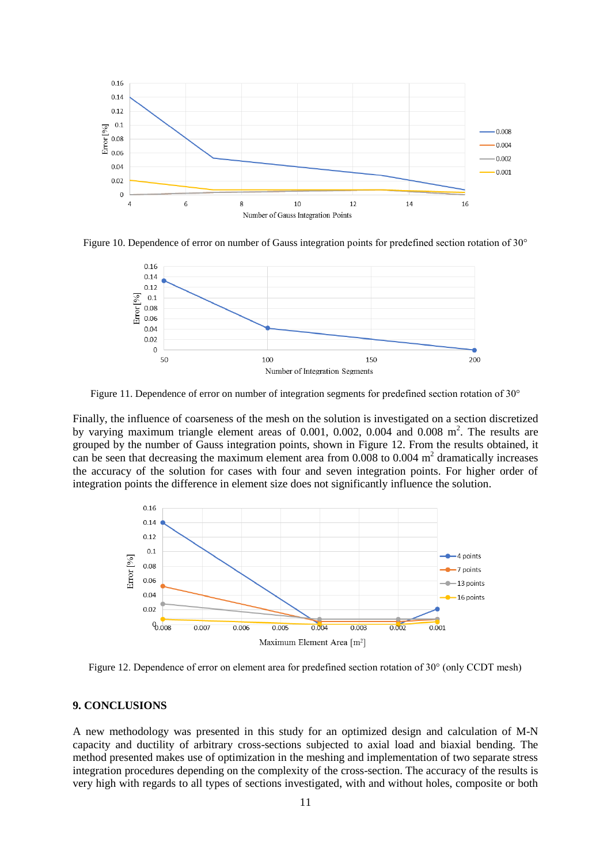

Figure 10. Dependence of error on number of Gauss integration points for predefined section rotation of 30°



Figure 11. Dependence of error on number of integration segments for predefined section rotation of 30°

Finally, the influence of coarseness of the mesh on the solution is investigated on a section discretized by varying maximum triangle element areas of  $0.001$ ,  $0.002$ ,  $0.004$  and  $0.008$  m<sup>2</sup>. The results are grouped by the number of Gauss integration points, shown in Figure 12. From the results obtained, it can be seen that decreasing the maximum element area from 0.008 to 0.004 m<sup>2</sup> dramatically increases the accuracy of the solution for cases with four and seven integration points. For higher order of integration points the difference in element size does not significantly influence the solution.



Figure 12. Dependence of error on element area for predefined section rotation of 30° (only CCDT mesh)

## **9. CONCLUSIONS**

A new methodology was presented in this study for an optimized design and calculation of M-N capacity and ductility of arbitrary cross-sections subjected to axial load and biaxial bending. The method presented makes use of optimization in the meshing and implementation of two separate stress integration procedures depending on the complexity of the cross-section. The accuracy of the results is very high with regards to all types of sections investigated, with and without holes, composite or both